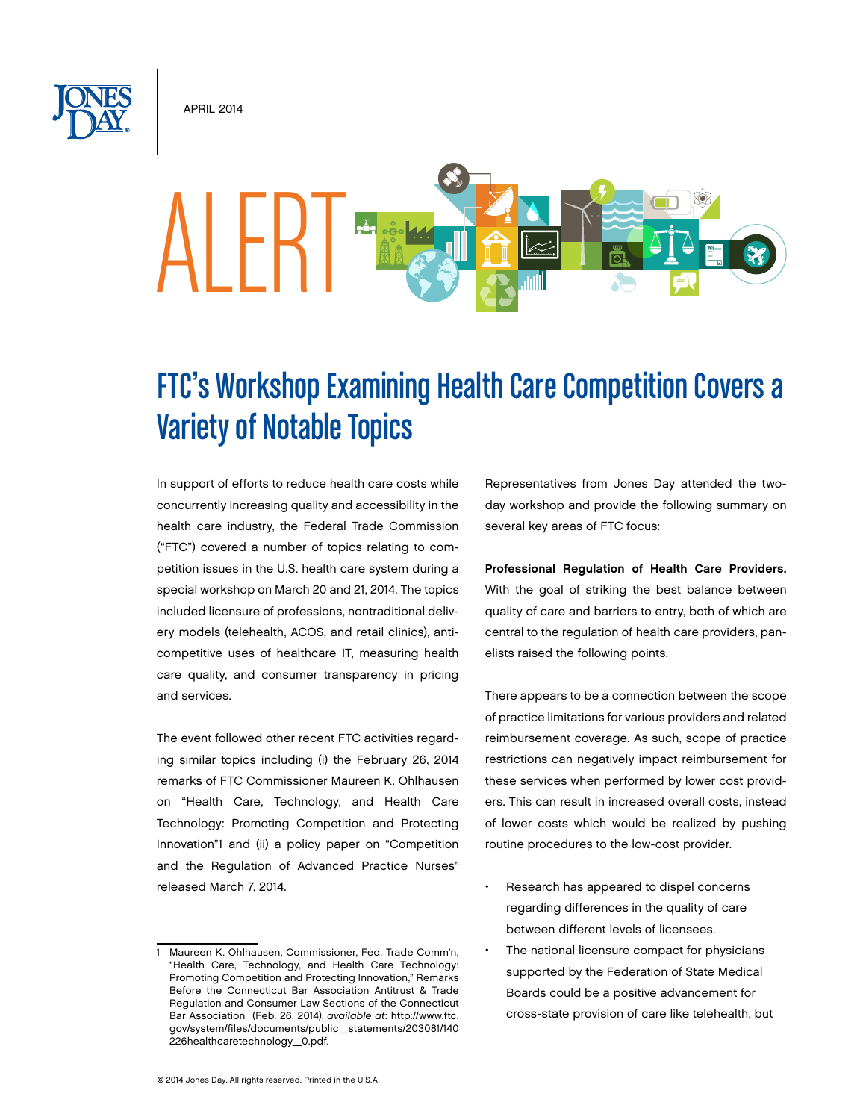**APRIL 2014** 

# ALERT

# FTC's Workshop Examining Health Care Competition Covers a Variety of Notable Topics

In support of efforts to reduce health care costs while concurrently increasing quality and accessibility in the health care industry, the Federal Trade Commission ("FTC") covered a number of topics relating to competition issues in the U.S. health care system during a special workshop on March 20 and 21, 2014. The topics included licensure of professions, nontraditional delivery models (telehealth, ACOS, and retail clinics), anticompetitive uses of healthcare IT, measuring health care quality, and consumer transparency in pricing and services.

The event followed other recent FTC activities regarding similar topics including (i) the February 26, 2014 remarks of FTC Commissioner Maureen K. Ohlhausen on "Health Care, Technology, and Health Care Technology: Promoting Competition and Protecting Innovation"1 and (ii) a policy paper on "Competition and the Regulation of Advanced Practice Nurses" released March 7, 2014.

Representatives from Jones Day attended the twoday workshop and provide the following summary on several key areas of FTC focus:

Professional Regulation of Health Care Providers. With the goal of striking the best balance between quality of care and barriers to entry, both of which are central to the regulation of health care providers, panelists raised the following points.

There appears to be a connection between the scope of practice limitations for various providers and related reimbursement coverage. As such, scope of practice restrictions can negatively impact reimbursement for these services when performed by lower cost providers. This can result in increased overall costs, instead of lower costs which would be realized by pushing routine procedures to the low-cost provider.

- • Research has appeared to dispel concerns regarding differences in the quality of care between different levels of licensees.
- The national licensure compact for physicians supported by the Federation of State Medical Boards could be a positive advancement for cross-state provision of care like telehealth, but

Maureen K. Ohlhausen, Commissioner, Fed. Trade Comm'n, "Health Care, Technology, and Health Care Technology: Promoting Competition and Protecting Innovation," Remarks Before the Connecticut Bar Association Antitrust & Trade Regulation and Consumer Law Sections of the Connecticut Bar Association (Feb. 26, 2014), *available at*: http://www.ftc. gov/system/files/documents/public\_statements/203081/140 226healthcaretechnology\_0.pdf.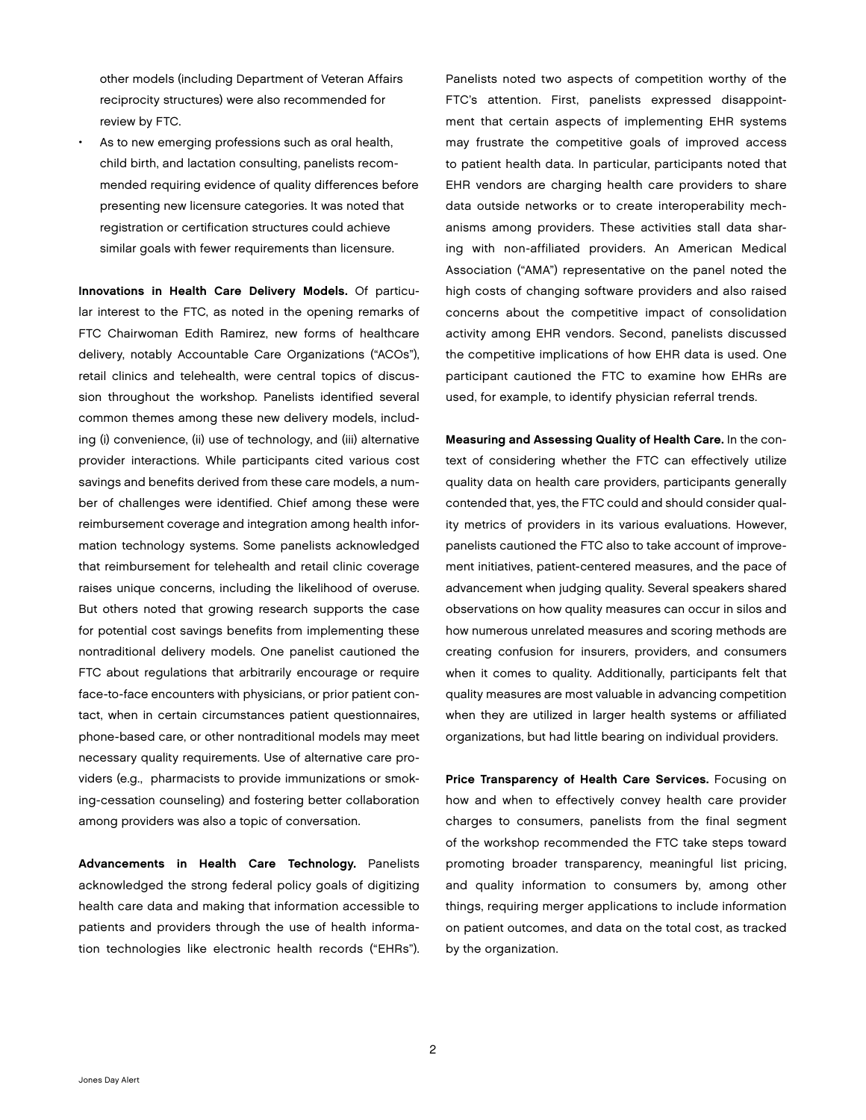other models (including Department of Veteran Affairs reciprocity structures) were also recommended for review by FTC.

As to new emerging professions such as oral health, child birth, and lactation consulting, panelists recommended requiring evidence of quality differences before presenting new licensure categories. It was noted that registration or certification structures could achieve similar goals with fewer requirements than licensure.

Innovations in Health Care Delivery Models. Of particular interest to the FTC, as noted in the opening remarks of FTC Chairwoman Edith Ramirez, new forms of healthcare delivery, notably Accountable Care Organizations ("ACOs"), retail clinics and telehealth, were central topics of discussion throughout the workshop. Panelists identified several common themes among these new delivery models, including (i) convenience, (ii) use of technology, and (iii) alternative provider interactions. While participants cited various cost savings and benefits derived from these care models, a number of challenges were identified. Chief among these were reimbursement coverage and integration among health information technology systems. Some panelists acknowledged that reimbursement for telehealth and retail clinic coverage raises unique concerns, including the likelihood of overuse. But others noted that growing research supports the case for potential cost savings benefits from implementing these nontraditional delivery models. One panelist cautioned the FTC about regulations that arbitrarily encourage or require face-to-face encounters with physicians, or prior patient contact, when in certain circumstances patient questionnaires, phone-based care, or other nontraditional models may meet necessary quality requirements. Use of alternative care providers (e.g., pharmacists to provide immunizations or smoking-cessation counseling) and fostering better collaboration among providers was also a topic of conversation.

Advancements in Health Care Technology. Panelists acknowledged the strong federal policy goals of digitizing health care data and making that information accessible to patients and providers through the use of health information technologies like electronic health records ("EHRs").

Panelists noted two aspects of competition worthy of the FTC's attention. First, panelists expressed disappointment that certain aspects of implementing EHR systems may frustrate the competitive goals of improved access to patient health data. In particular, participants noted that EHR vendors are charging health care providers to share data outside networks or to create interoperability mechanisms among providers. These activities stall data sharing with non-affiliated providers. An American Medical Association ("AMA") representative on the panel noted the high costs of changing software providers and also raised concerns about the competitive impact of consolidation activity among EHR vendors. Second, panelists discussed the competitive implications of how EHR data is used. One participant cautioned the FTC to examine how EHRs are used, for example, to identify physician referral trends.

Measuring and Assessing Quality of Health Care. In the context of considering whether the FTC can effectively utilize quality data on health care providers, participants generally contended that, yes, the FTC could and should consider quality metrics of providers in its various evaluations. However, panelists cautioned the FTC also to take account of improvement initiatives, patient-centered measures, and the pace of advancement when judging quality. Several speakers shared observations on how quality measures can occur in silos and how numerous unrelated measures and scoring methods are creating confusion for insurers, providers, and consumers when it comes to quality. Additionally, participants felt that quality measures are most valuable in advancing competition when they are utilized in larger health systems or affiliated organizations, but had little bearing on individual providers.

Price Transparency of Health Care Services. Focusing on how and when to effectively convey health care provider charges to consumers, panelists from the final segment of the workshop recommended the FTC take steps toward promoting broader transparency, meaningful list pricing, and quality information to consumers by, among other things, requiring merger applications to include information on patient outcomes, and data on the total cost, as tracked by the organization.